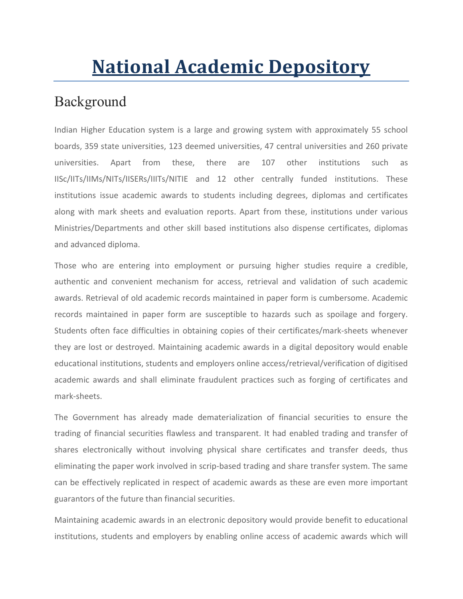# National Academic Depository

### Background

Indian Higher Education system is a large and growing system with approximately 55 school boards, 359 state universities, 123 deemed universities, 47 central universities and 260 private universities. Apart from these, there are 107 other institutions such as IISc/IITs/IIMs/NITs/IISERs/IIITs/NITIE and 12 other centrally funded institutions. These institutions issue academic awards to students including degrees, diplomas and certificates along with mark sheets and evaluation reports. Apart from these, institutions under various Ministries/Departments and other skill based institutions also dispense certificates, diplomas and advanced diploma.

Those who are entering into employment or pursuing higher studies require a credible, authentic and convenient mechanism for access, retrieval and validation of such academic awards. Retrieval of old academic records maintained in paper form is cumbersome. Academic records maintained in paper form are susceptible to hazards such as spoilage and forgery. Students often face difficulties in obtaining copies of their certificates/mark-sheets whenever they are lost or destroyed. Maintaining academic awards in a digital depository would enable educational institutions, students and employers online access/retrieval/verification of digitised academic awards and shall eliminate fraudulent practices such as forging of certificates and mark-sheets.

The Government has already made dematerialization of financial securities to ensure the trading of financial securities flawless and transparent. It had enabled trading and transfer of shares electronically without involving physical share certificates and transfer deeds, thus eliminating the paper work involved in scrip-based trading and share transfer system. The same can be effectively replicated in respect of academic awards as these are even more important guarantors of the future than financial securities.

Maintaining academic awards in an electronic depository would provide benefit to educational institutions, students and employers by enabling online access of academic awards which will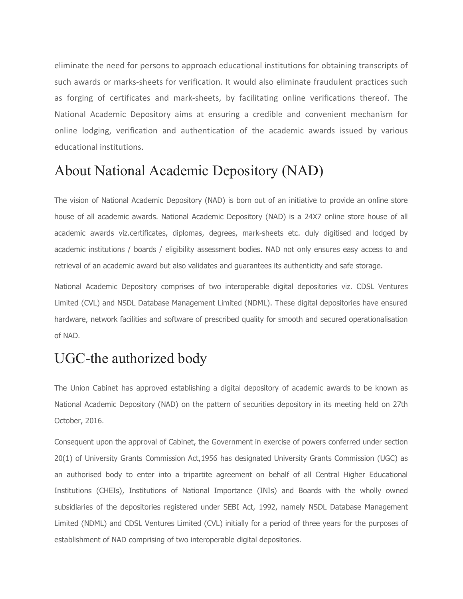eliminate the need for persons to approach educational institutions for obtaining transcripts of such awards or marks-sheets for verification. It would also eliminate fraudulent practices such as forging of certificates and mark-sheets, by facilitating online verifications thereof. The National Academic Depository aims at ensuring a credible and convenient mechanism for online lodging, verification and authentication of the academic awards issued by various educational institutions.

# About National Academic Depository (NAD)

The vision of National Academic Depository (NAD) is born out of an initiative to provide an online store house of all academic awards. National Academic Depository (NAD) is a 24X7 online store house of all academic awards viz.certificates, diplomas, degrees, mark-sheets etc. duly digitised and lodged by academic institutions / boards / eligibility assessment bodies. NAD not only ensures easy access to and retrieval of an academic award but also validates and guarantees its authenticity and safe storage.

National Academic Depository comprises of two interoperable digital depositories viz. CDSL Ventures Limited (CVL) and NSDL Database Management Limited (NDML). These digital depositories have ensured hardware, network facilities and software of prescribed quality for smooth and secured operationalisation of NAD.

# UGC-the authorized body

The Union Cabinet has approved establishing a digital depository of academic awards to be known as National Academic Depository (NAD) on the pattern of securities depository in its meeting held on 27th October, 2016.

Consequent upon the approval of Cabinet, the Government in exercise of powers conferred under section 20(1) of University Grants Commission Act,1956 has designated University Grants Commission (UGC) as an authorised body to enter into a tripartite agreement on behalf of all Central Higher Educational Institutions (CHEIs), Institutions of National Importance (INIs) and Boards with the wholly owned subsidiaries of the depositories registered under SEBI Act, 1992, namely NSDL Database Management Limited (NDML) and CDSL Ventures Limited (CVL) initially for a period of three years for the purposes of establishment of NAD comprising of two interoperable digital depositories.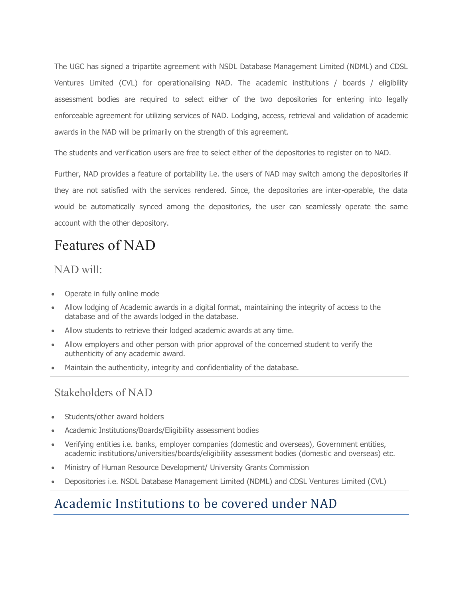The UGC has signed a tripartite agreement with NSDL Database Management Limited (NDML) and CDSL Ventures Limited (CVL) for operationalising NAD. The academic institutions / boards / eligibility assessment bodies are required to select either of the two depositories for entering into legally enforceable agreement for utilizing services of NAD. Lodging, access, retrieval and validation of academic awards in the NAD will be primarily on the strength of this agreement.

The students and verification users are free to select either of the depositories to register on to NAD.

Further, NAD provides a feature of portability i.e. the users of NAD may switch among the depositories if they are not satisfied with the services rendered. Since, the depositories are inter-operable, the data would be automatically synced among the depositories, the user can seamlessly operate the same account with the other depository.

# Features of NAD

### NAD will:

- Operate in fully online mode
- Allow lodging of Academic awards in a digital format, maintaining the integrity of access to the database and of the awards lodged in the database.
- Allow students to retrieve their lodged academic awards at any time.
- Allow employers and other person with prior approval of the concerned student to verify the authenticity of any academic award.
- Maintain the authenticity, integrity and confidentiality of the database.

### Stakeholders of NAD

- Students/other award holders
- Academic Institutions/Boards/Eligibility assessment bodies
- Verifying entities i.e. banks, employer companies (domestic and overseas), Government entities, academic institutions/universities/boards/eligibility assessment bodies (domestic and overseas) etc.
- Ministry of Human Resource Development/ University Grants Commission
- Depositories i.e. NSDL Database Management Limited (NDML) and CDSL Ventures Limited (CVL)

# Academic Institutions to be covered under NAD